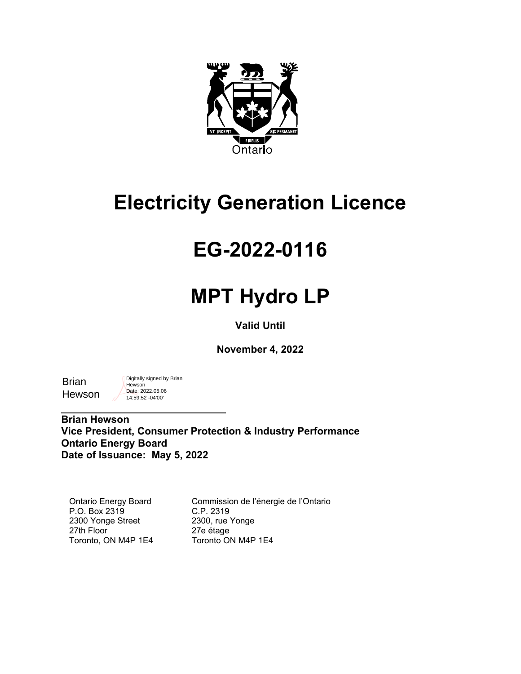

### **Electricity Generation Licence**

## **EG-2022-0116**

### **MPT Hydro LP**

**Valid Until**

**November 4, 2022**

Brian **Hewson**  Digitally signed by Brian **Hewson** Date: 2022.05.06 14:59:52 -04'00'

 $\overline{\phantom{a}}$  , which is a set of the set of the set of the set of the set of the set of the set of the set of the set of the set of the set of the set of the set of the set of the set of the set of the set of the set of th

**Brian Hewson Vice President, Consumer Protection & Industry Performance Ontario Energy Board Date of Issuance: May 5, 2022**

Ontario Energy Board P.O. Box 2319 2300 Yonge Street 27th Floor Toronto, ON M4P 1E4

Commission de l'énergie de l'Ontario C.P. 2319 2300, rue Yonge 27e étage Toronto ON M4P 1E4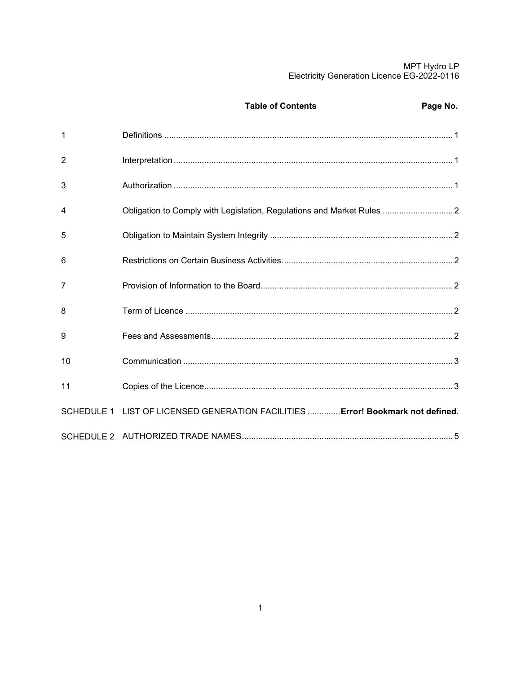# MPT Hydro LP<br>Electricity Generation Licence EG-2022-0116

|                | <b>Table of Contents</b>                                                        | Page No. |
|----------------|---------------------------------------------------------------------------------|----------|
| 1              |                                                                                 |          |
| $\overline{2}$ |                                                                                 |          |
| 3              |                                                                                 |          |
| $\overline{4}$ | Obligation to Comply with Legislation, Regulations and Market Rules  2          |          |
| 5              |                                                                                 |          |
| 6              |                                                                                 |          |
| $\overline{7}$ |                                                                                 |          |
| 8              |                                                                                 |          |
| 9              |                                                                                 |          |
| 10             |                                                                                 |          |
| 11             |                                                                                 |          |
|                | SCHEDULE 1 LIST OF LICENSED GENERATION FACILITIES  Error! Bookmark not defined. |          |
|                |                                                                                 |          |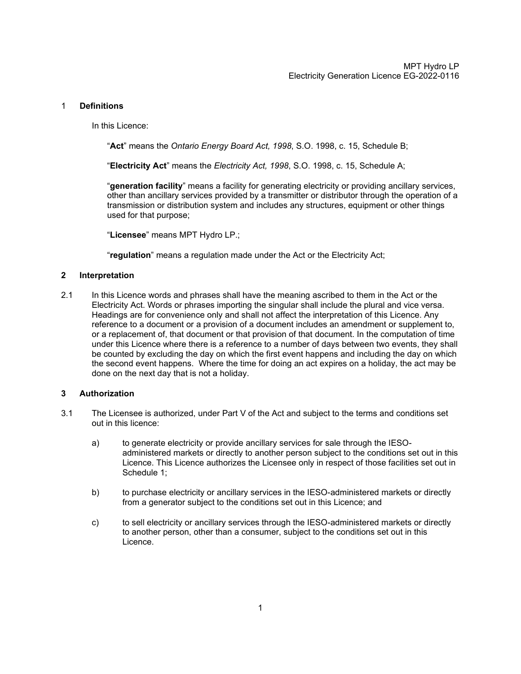#### <span id="page-2-0"></span>1 **Definitions**

In this Licence:

"**Act**" means the *Ontario Energy Board Act, 1998*, S.O. 1998, c. 15, Schedule B;

"**Electricity Act**" means the *Electricity Act, 1998*, S.O. 1998, c. 15, Schedule A;

"**generation facility**" means a facility for generating electricity or providing ancillary services, other than ancillary services provided by a transmitter or distributor through the operation of a transmission or distribution system and includes any structures, equipment or other things used for that purpose;

"**Licensee**" means MPT Hydro LP.;

"**regulation**" means a regulation made under the Act or the Electricity Act;

#### <span id="page-2-1"></span>**2 Interpretation**

2.1 In this Licence words and phrases shall have the meaning ascribed to them in the Act or the Electricity Act. Words or phrases importing the singular shall include the plural and vice versa. Headings are for convenience only and shall not affect the interpretation of this Licence. Any reference to a document or a provision of a document includes an amendment or supplement to, or a replacement of, that document or that provision of that document. In the computation of time under this Licence where there is a reference to a number of days between two events, they shall be counted by excluding the day on which the first event happens and including the day on which the second event happens. Where the time for doing an act expires on a holiday, the act may be done on the next day that is not a holiday.

#### <span id="page-2-2"></span>**3 Authorization**

- 3.1 The Licensee is authorized, under Part V of the Act and subject to the terms and conditions set out in this licence:
	- a) to generate electricity or provide ancillary services for sale through the IESOadministered markets or directly to another person subject to the conditions set out in this Licence. This Licence authorizes the Licensee only in respect of those facilities set out in Schedule 1;
	- b) to purchase electricity or ancillary services in the IESO-administered markets or directly from a generator subject to the conditions set out in this Licence; and
	- c) to sell electricity or ancillary services through the IESO-administered markets or directly to another person, other than a consumer, subject to the conditions set out in this Licence.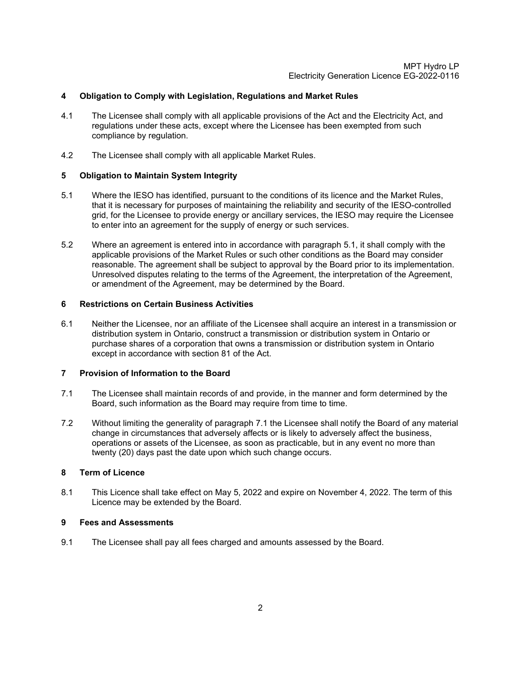#### <span id="page-3-0"></span>**4 Obligation to Comply with Legislation, Regulations and Market Rules**

- 4.1 The Licensee shall comply with all applicable provisions of the Act and the Electricity Act, and regulations under these acts, except where the Licensee has been exempted from such compliance by regulation.
- 4.2 The Licensee shall comply with all applicable Market Rules.

#### <span id="page-3-1"></span>**5 Obligation to Maintain System Integrity**

- 5.1 Where the IESO has identified, pursuant to the conditions of its licence and the Market Rules, that it is necessary for purposes of maintaining the reliability and security of the IESO-controlled grid, for the Licensee to provide energy or ancillary services, the IESO may require the Licensee to enter into an agreement for the supply of energy or such services.
- 5.2 Where an agreement is entered into in accordance with paragraph 5.1, it shall comply with the applicable provisions of the Market Rules or such other conditions as the Board may consider reasonable. The agreement shall be subject to approval by the Board prior to its implementation. Unresolved disputes relating to the terms of the Agreement, the interpretation of the Agreement, or amendment of the Agreement, may be determined by the Board.

#### <span id="page-3-2"></span>**6 Restrictions on Certain Business Activities**

6.1 Neither the Licensee, nor an affiliate of the Licensee shall acquire an interest in a transmission or distribution system in Ontario, construct a transmission or distribution system in Ontario or purchase shares of a corporation that owns a transmission or distribution system in Ontario except in accordance with section 81 of the Act.

#### <span id="page-3-3"></span>**7 Provision of Information to the Board**

- 7.1 The Licensee shall maintain records of and provide, in the manner and form determined by the Board, such information as the Board may require from time to time.
- 7.2 Without limiting the generality of paragraph 7.1 the Licensee shall notify the Board of any material change in circumstances that adversely affects or is likely to adversely affect the business, operations or assets of the Licensee, as soon as practicable, but in any event no more than twenty (20) days past the date upon which such change occurs.

#### <span id="page-3-4"></span>**8 Term of Licence**

8.1 This Licence shall take effect on May 5, 2022 and expire on November 4, 2022. The term of this Licence may be extended by the Board.

#### <span id="page-3-5"></span>**9 Fees and Assessments**

9.1 The Licensee shall pay all fees charged and amounts assessed by the Board.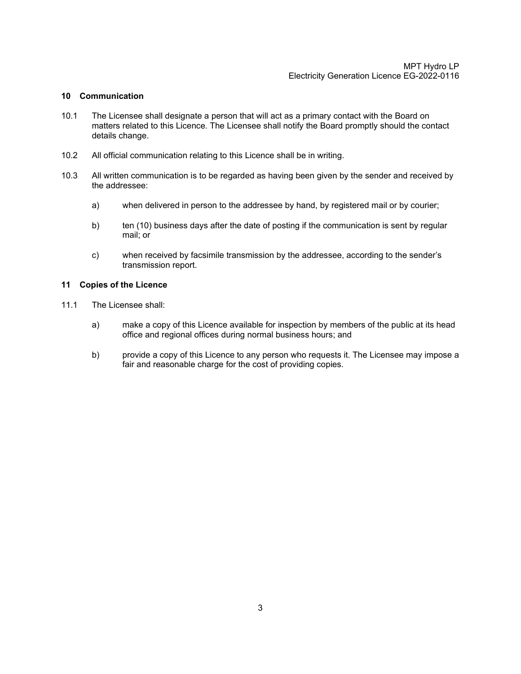#### <span id="page-4-0"></span>**10 Communication**

- 10.1 The Licensee shall designate a person that will act as a primary contact with the Board on matters related to this Licence. The Licensee shall notify the Board promptly should the contact details change.
- 10.2 All official communication relating to this Licence shall be in writing.
- 10.3 All written communication is to be regarded as having been given by the sender and received by the addressee:
	- a) when delivered in person to the addressee by hand, by registered mail or by courier;
	- b) ten (10) business days after the date of posting if the communication is sent by regular mail; or
	- c) when received by facsimile transmission by the addressee, according to the sender's transmission report.

#### <span id="page-4-1"></span>**11 Copies of the Licence**

- 11.1 The Licensee shall:
	- a) make a copy of this Licence available for inspection by members of the public at its head office and regional offices during normal business hours; and
	- b) provide a copy of this Licence to any person who requests it. The Licensee may impose a fair and reasonable charge for the cost of providing copies.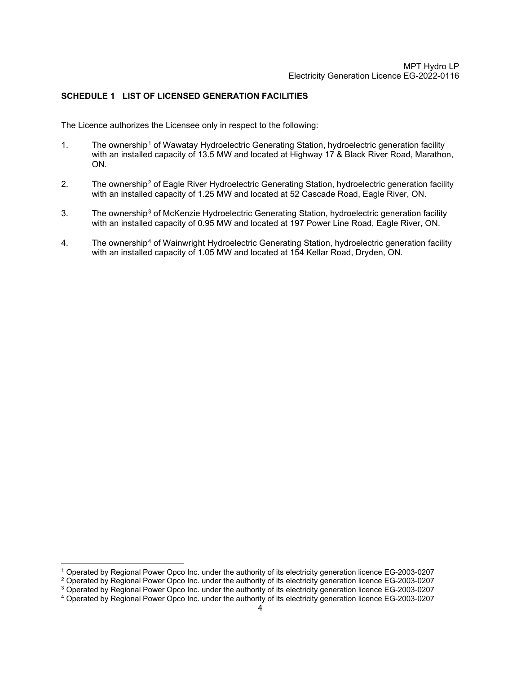#### **SCHEDULE 1 LIST OF LICENSED GENERATION FACILITIES**

The Licence authorizes the Licensee only in respect to the following:

- [1](#page-5-1). The ownership<sup>1</sup> of Wawatay Hydroelectric Generating Station, hydroelectric generation facility with an installed capacity of 13.5 MW and located at Highway 17 & Black River Road, Marathon, ON.
- [2](#page-5-2). The ownership<sup>2</sup> of Eagle River Hydroelectric Generating Station, hydroelectric generation facility with an installed capacity of 1.25 MW and located at 52 Cascade Road, Eagle River, ON.
- [3](#page-5-3). The ownership<sup>3</sup> of McKenzie Hydroelectric Generating Station, hydroelectric generation facility with an installed capacity of 0.95 MW and located at 197 Power Line Road, Eagle River, ON.
- [4](#page-5-4). The ownership<sup>4</sup> of Wainwright Hydroelectric Generating Station, hydroelectric generation facility with an installed capacity of 1.05 MW and located at 154 Kellar Road, Dryden, ON.

<span id="page-5-1"></span><span id="page-5-0"></span><sup>1</sup> Operated by Regional Power Opco Inc. under the authority of its electricity generation licence EG-2003-0207

<span id="page-5-2"></span><sup>2</sup> Operated by Regional Power Opco Inc. under the authority of its electricity generation licence EG-2003-0207

<span id="page-5-3"></span><sup>3</sup> Operated by Regional Power Opco Inc. under the authority of its electricity generation licence EG-2003-0207

<span id="page-5-4"></span><sup>4</sup> Operated by Regional Power Opco Inc. under the authority of its electricity generation licence EG-2003-0207